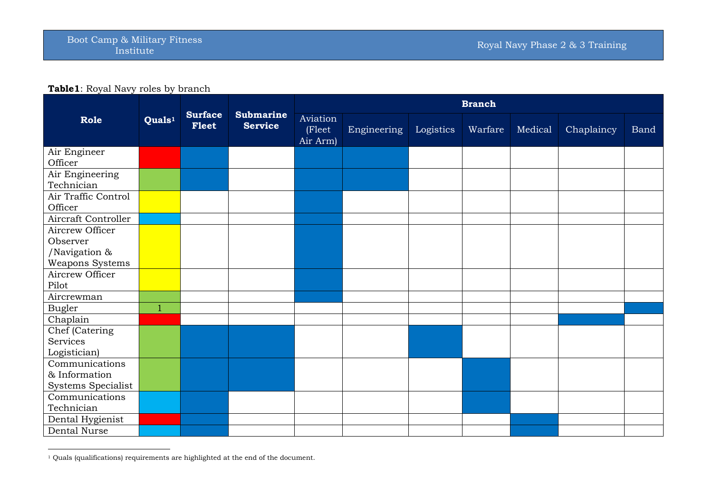## **Table1**: Royal Navy roles by branch

|                                            |                                                      |                                    |                                | <b>Branch</b> |           |         |         |            |             |  |  |
|--------------------------------------------|------------------------------------------------------|------------------------------------|--------------------------------|---------------|-----------|---------|---------|------------|-------------|--|--|
| Role                                       | <b>Surface</b><br>Quals <sup>1</sup><br><b>Fleet</b> | <b>Submarine</b><br><b>Service</b> | Aviation<br>(Fleet<br>Air Arm) | Engineering   | Logistics | Warfare | Medical | Chaplaincy | <b>Band</b> |  |  |
| Air Engineer<br>Officer                    |                                                      |                                    |                                |               |           |         |         |            |             |  |  |
| Air Engineering<br>Technician              |                                                      |                                    |                                |               |           |         |         |            |             |  |  |
| Air Traffic Control<br>Officer             |                                                      |                                    |                                |               |           |         |         |            |             |  |  |
| Aircraft Controller                        |                                                      |                                    |                                |               |           |         |         |            |             |  |  |
| Aircrew Officer<br>Observer                |                                                      |                                    |                                |               |           |         |         |            |             |  |  |
| /Navigation &<br>Weapons Systems           |                                                      |                                    |                                |               |           |         |         |            |             |  |  |
| Aircrew Officer<br>Pilot                   |                                                      |                                    |                                |               |           |         |         |            |             |  |  |
| Aircrewman                                 |                                                      |                                    |                                |               |           |         |         |            |             |  |  |
| <b>Bugler</b>                              | $\mathbf{1}$                                         |                                    |                                |               |           |         |         |            |             |  |  |
| Chaplain                                   |                                                      |                                    |                                |               |           |         |         |            |             |  |  |
| Chef (Catering<br>Services<br>Logistician) |                                                      |                                    |                                |               |           |         |         |            |             |  |  |
| Communications                             |                                                      |                                    |                                |               |           |         |         |            |             |  |  |
| & Information<br>Systems Specialist        |                                                      |                                    |                                |               |           |         |         |            |             |  |  |
| Communications<br>Technician               |                                                      |                                    |                                |               |           |         |         |            |             |  |  |
| Dental Hygienist                           |                                                      |                                    |                                |               |           |         |         |            |             |  |  |
| Dental Nurse                               |                                                      |                                    |                                |               |           |         |         |            |             |  |  |

<sup>&</sup>lt;sup>1</sup> Quals (qualifications) requirements are highlighted at the end of the document.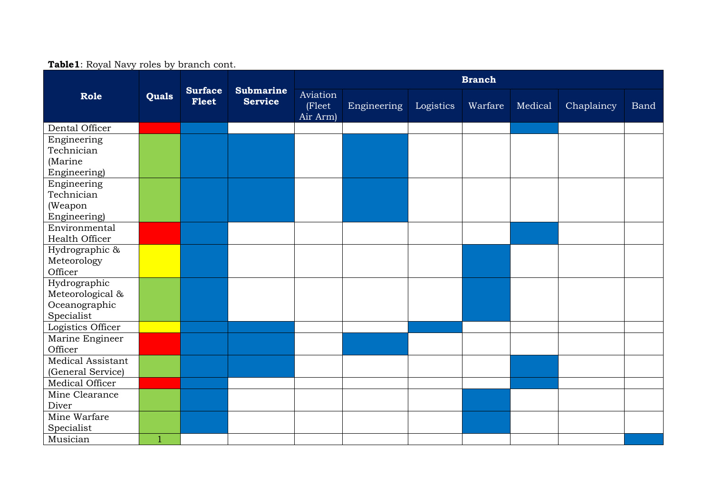| $= 1.25$ and $\frac{1}{2}$ $\frac{1}{2}$ $\frac{1}{2}$ $\frac{1}{2}$ $\frac{1}{2}$ $\frac{1}{2}$ $\frac{1}{2}$ $\frac{1}{2}$ $\frac{1}{2}$ $\frac{1}{2}$ $\frac{1}{2}$ $\frac{1}{2}$ $\frac{1}{2}$ $\frac{1}{2}$ $\frac{1}{2}$ $\frac{1}{2}$ $\frac{1}{2}$ $\frac{1}{2}$ $\frac{1}{2}$ $\frac{1}{2}$ $\frac{1}{2}$ |              |                                |                                    | <b>Branch</b>                  |             |           |         |         |            |      |  |
|--------------------------------------------------------------------------------------------------------------------------------------------------------------------------------------------------------------------------------------------------------------------------------------------------------------------|--------------|--------------------------------|------------------------------------|--------------------------------|-------------|-----------|---------|---------|------------|------|--|
| Role                                                                                                                                                                                                                                                                                                               | Quals        | <b>Surface</b><br><b>Fleet</b> | <b>Submarine</b><br><b>Service</b> | Aviation<br>(Fleet<br>Air Arm) | Engineering | Logistics | Warfare | Medical | Chaplaincy | Band |  |
| Dental Officer                                                                                                                                                                                                                                                                                                     |              |                                |                                    |                                |             |           |         |         |            |      |  |
| Engineering<br>Technician<br>(Marine                                                                                                                                                                                                                                                                               |              |                                |                                    |                                |             |           |         |         |            |      |  |
| Engineering)                                                                                                                                                                                                                                                                                                       |              |                                |                                    |                                |             |           |         |         |            |      |  |
| Engineering<br>Technician                                                                                                                                                                                                                                                                                          |              |                                |                                    |                                |             |           |         |         |            |      |  |
| (Weapon                                                                                                                                                                                                                                                                                                            |              |                                |                                    |                                |             |           |         |         |            |      |  |
| Engineering)                                                                                                                                                                                                                                                                                                       |              |                                |                                    |                                |             |           |         |         |            |      |  |
| Environmental                                                                                                                                                                                                                                                                                                      |              |                                |                                    |                                |             |           |         |         |            |      |  |
| Health Officer                                                                                                                                                                                                                                                                                                     |              |                                |                                    |                                |             |           |         |         |            |      |  |
| Hydrographic &                                                                                                                                                                                                                                                                                                     |              |                                |                                    |                                |             |           |         |         |            |      |  |
| Meteorology<br>Officer                                                                                                                                                                                                                                                                                             |              |                                |                                    |                                |             |           |         |         |            |      |  |
| Hydrographic                                                                                                                                                                                                                                                                                                       |              |                                |                                    |                                |             |           |         |         |            |      |  |
| Meteorological &<br>Oceanographic                                                                                                                                                                                                                                                                                  |              |                                |                                    |                                |             |           |         |         |            |      |  |
| Specialist                                                                                                                                                                                                                                                                                                         |              |                                |                                    |                                |             |           |         |         |            |      |  |
| Logistics Officer                                                                                                                                                                                                                                                                                                  |              |                                |                                    |                                |             |           |         |         |            |      |  |
| Marine Engineer                                                                                                                                                                                                                                                                                                    |              |                                |                                    |                                |             |           |         |         |            |      |  |
| Officer                                                                                                                                                                                                                                                                                                            |              |                                |                                    |                                |             |           |         |         |            |      |  |
| Medical Assistant<br>(General Service)                                                                                                                                                                                                                                                                             |              |                                |                                    |                                |             |           |         |         |            |      |  |
| Medical Officer                                                                                                                                                                                                                                                                                                    |              |                                |                                    |                                |             |           |         |         |            |      |  |
| Mine Clearance                                                                                                                                                                                                                                                                                                     |              |                                |                                    |                                |             |           |         |         |            |      |  |
| Diver                                                                                                                                                                                                                                                                                                              |              |                                |                                    |                                |             |           |         |         |            |      |  |
| Mine Warfare                                                                                                                                                                                                                                                                                                       |              |                                |                                    |                                |             |           |         |         |            |      |  |
| Specialist                                                                                                                                                                                                                                                                                                         |              |                                |                                    |                                |             |           |         |         |            |      |  |
| Musician                                                                                                                                                                                                                                                                                                           | $\mathbf{1}$ |                                |                                    |                                |             |           |         |         |            |      |  |

## **Table1**: Royal Navy roles by branch cont.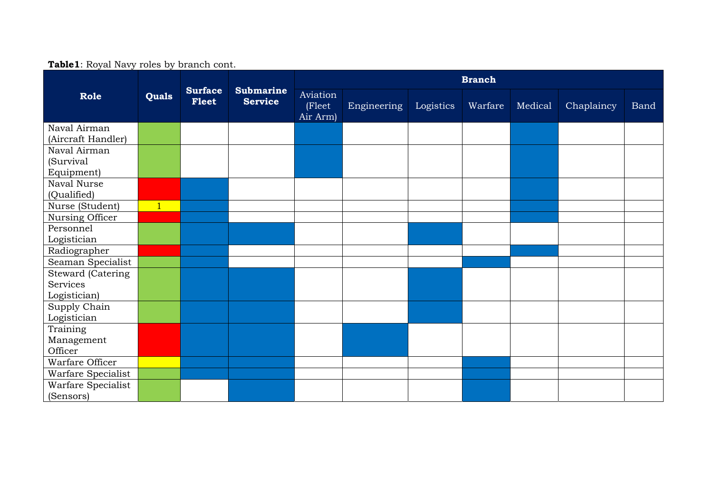| _. _._, ._ _, _ ___ _ _,                             |                |                         |                                    | <b>Branch</b>                  |             |           |         |         |            |      |  |
|------------------------------------------------------|----------------|-------------------------|------------------------------------|--------------------------------|-------------|-----------|---------|---------|------------|------|--|
| Role                                                 | <b>Quals</b>   | <b>Surface</b><br>Fleet | <b>Submarine</b><br><b>Service</b> | Aviation<br>(Fleet<br>Air Arm) | Engineering | Logistics | Warfare | Medical | Chaplaincy | Band |  |
| Naval Airman<br>(Aircraft Handler)                   |                |                         |                                    |                                |             |           |         |         |            |      |  |
| Naval Airman<br>(Survival<br>Equipment)              |                |                         |                                    |                                |             |           |         |         |            |      |  |
| Naval Nurse<br>(Qualified)                           |                |                         |                                    |                                |             |           |         |         |            |      |  |
| Nurse (Student)                                      | $\overline{1}$ |                         |                                    |                                |             |           |         |         |            |      |  |
| Nursing Officer                                      |                |                         |                                    |                                |             |           |         |         |            |      |  |
| Personnel<br>Logistician                             |                |                         |                                    |                                |             |           |         |         |            |      |  |
| Radiographer                                         |                |                         |                                    |                                |             |           |         |         |            |      |  |
| Seaman Specialist                                    |                |                         |                                    |                                |             |           |         |         |            |      |  |
| <b>Steward (Catering</b><br>Services<br>Logistician) |                |                         |                                    |                                |             |           |         |         |            |      |  |
| Supply Chain<br>Logistician                          |                |                         |                                    |                                |             |           |         |         |            |      |  |
| Training<br>Management<br>Officer                    |                |                         |                                    |                                |             |           |         |         |            |      |  |
| Warfare Officer                                      |                |                         |                                    |                                |             |           |         |         |            |      |  |
| Warfare Specialist                                   |                |                         |                                    |                                |             |           |         |         |            |      |  |
| Warfare Specialist<br>(Sensors)                      |                |                         |                                    |                                |             |           |         |         |            |      |  |

## **Table1**: Royal Navy roles by branch cont.